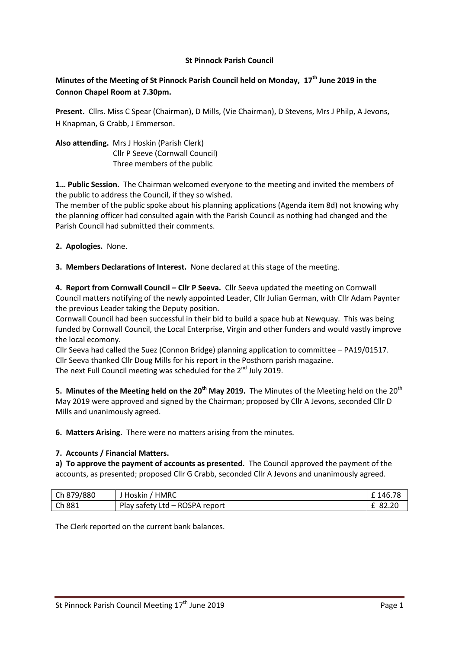## **St Pinnock Parish Council**

# **Minutes of the Meeting of St Pinnock Parish Council held on Monday, 17th June 2019 in the Connon Chapel Room at 7.30pm.**

**Present.** Cllrs. Miss C Spear (Chairman), D Mills, (Vie Chairman), D Stevens, Mrs J Philp, A Jevons, H Knapman, G Crabb, J Emmerson.

**Also attending.** Mrs J Hoskin (Parish Clerk) Cllr P Seeve (Cornwall Council) Three members of the public

**1… Public Session.** The Chairman welcomed everyone to the meeting and invited the members of the public to address the Council, if they so wished.

The member of the public spoke about his planning applications (Agenda item 8d) not knowing why the planning officer had consulted again with the Parish Council as nothing had changed and the Parish Council had submitted their comments.

**2. Apologies.** None.

**3. Members Declarations of Interest.** None declared at this stage of the meeting.

**4. Report from Cornwall Council – Cllr P Seeva.** Cllr Seeva updated the meeting on Cornwall Council matters notifying of the newly appointed Leader, Cllr Julian German, with Cllr Adam Paynter the previous Leader taking the Deputy position.

Cornwall Council had been successful in their bid to build a space hub at Newquay. This was being funded by Cornwall Council, the Local Enterprise, Virgin and other funders and would vastly improve the local ecomony.

Cllr Seeva had called the Suez (Connon Bridge) planning application to committee – PA19/01517. Cllr Seeva thanked Cllr Doug Mills for his report in the Posthorn parish magazine. The next Full Council meeting was scheduled for the  $2<sup>nd</sup>$  July 2019.

**5. Minutes of the Meeting held on the 20<sup>th</sup> May 2019.** The Minutes of the Meeting held on the 20<sup>th</sup> May 2019 were approved and signed by the Chairman; proposed by Cllr A Jevons, seconded Cllr D Mills and unanimously agreed.

**6. Matters Arising.** There were no matters arising from the minutes.

#### **7. Accounts / Financial Matters.**

**a) To approve the payment of accounts as presented.** The Council approved the payment of the accounts, as presented; proposed Cllr G Crabb, seconded Cllr A Jevons and unanimously agreed.

| Ch 879/880 | <b>HMRC</b><br>Hoskin               | 146.78 |
|------------|-------------------------------------|--------|
| Ch881      | ROSPA report<br>Play safety Ltd $-$ | 82.20  |

The Clerk reported on the current bank balances.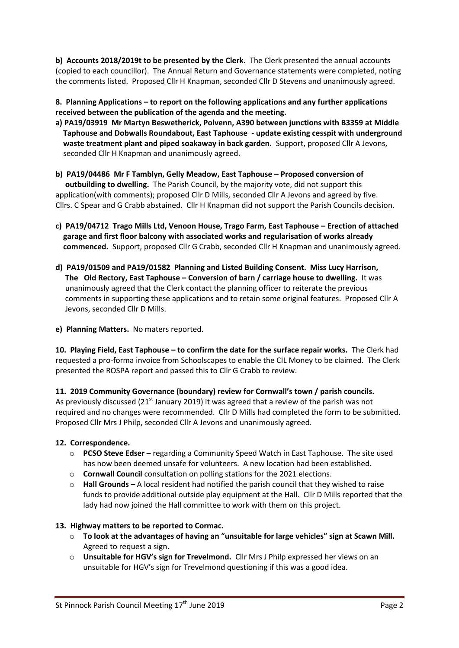**b) Accounts 2018/2019t to be presented by the Clerk.** The Clerk presented the annual accounts (copied to each councillor). The Annual Return and Governance statements were completed, noting the comments listed. Proposed Cllr H Knapman, seconded Cllr D Stevens and unanimously agreed.

**8. Planning Applications – to report on the following applications and any further applications received between the publication of the agenda and the meeting.**

- **a) PA19/03919 Mr Martyn Beswetherick, Polvenn, A390 between junctions with B3359 at Middle Taphouse and Dobwalls Roundabout, East Taphouse - update existing cesspit with underground waste treatment plant and piped soakaway in back garden.** Support, proposed Cllr A Jevons, seconded Cllr H Knapman and unanimously agreed.
- **b) PA19/04486 Mr F Tamblyn, Gelly Meadow, East Taphouse – Proposed conversion of outbuilding to dwelling.** The Parish Council, by the majority vote, did not support this application(with comments); proposed Cllr D Mills, seconded Cllr A Jevons and agreed by five. Cllrs. C Spear and G Crabb abstained. Cllr H Knapman did not support the Parish Councils decision.
- **c) PA19/04712 Trago Mills Ltd, Venoon House, Trago Farm, East Taphouse – Erection of attached garage and first floor balcony with associated works and regularisation of works already commenced.** Support, proposed Cllr G Crabb, seconded Cllr H Knapman and unanimously agreed.
- **d) PA19/01509 and PA19/01582 Planning and Listed Building Consent. Miss Lucy Harrison, The Old Rectory, East Taphouse – Conversion of barn / carriage house to dwelling.** It was unanimously agreed that the Clerk contact the planning officer to reiterate the previous comments in supporting these applications and to retain some original features. Proposed Cllr A Jevons, seconded Cllr D Mills.
- **e) Planning Matters.** No maters reported.

**10. Playing Field, East Taphouse – to confirm the date for the surface repair works.** The Clerk had requested a pro-forma invoice from Schoolscapes to enable the CIL Money to be claimed. The Clerk presented the ROSPA report and passed this to Cllr G Crabb to review.

**11. 2019 Community Governance (boundary) review for Cornwall's town / parish councils.** As previously discussed (21<sup>st</sup> January 2019) it was agreed that a review of the parish was not required and no changes were recommended. Cllr D Mills had completed the form to be submitted. Proposed Cllr Mrs J Philp, seconded Cllr A Jevons and unanimously agreed.

## **12. Correspondence.**

- o **PCSO Steve Edser –** regarding a Community Speed Watch in East Taphouse. The site used has now been deemed unsafe for volunteers. A new location had been established.
- o **Cornwall Council** consultation on polling stations for the 2021 elections.
- o **Hall Grounds –** A local resident had notified the parish council that they wished to raise funds to provide additional outside play equipment at the Hall. Cllr D Mills reported that the lady had now joined the Hall committee to work with them on this project.

## **13. Highway matters to be reported to Cormac.**

- o **To look at the advantages of having an "unsuitable for large vehicles" sign at Scawn Mill.** Agreed to request a sign.
- o **Unsuitable for HGV's sign for Trevelmond.** Cllr Mrs J Philp expressed her views on an unsuitable for HGV's sign for Trevelmond questioning if this was a good idea.